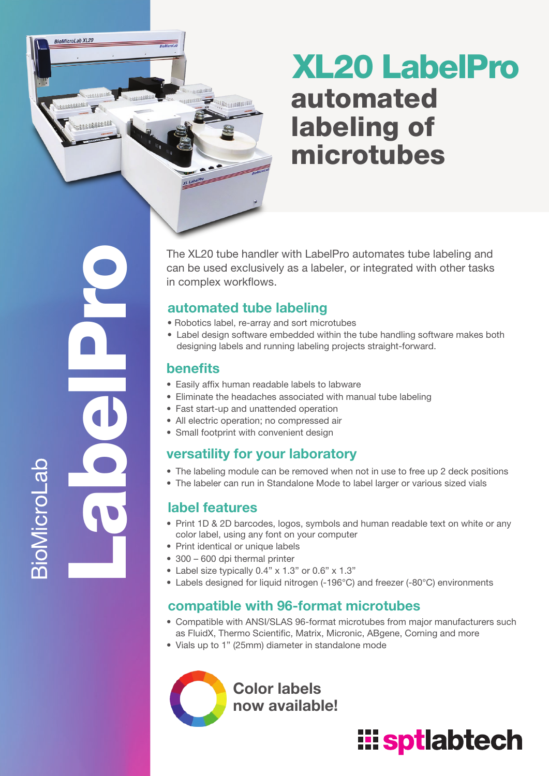## XL20 LabelPro automated labeling of microtubes

LabelPro **BioMicroLab** 

**BioMicroLab XL20** 

**SECRETE** 

The XL20 tube handler with LabelPro automates tube labeling and can be used exclusively as a labeler, or integrated with other tasks in complex workflows.

### automated tube labeling

En constitution

- Robotics label, re-array and sort microtubes
- Label design software embedded within the tube handling software makes both designing labels and running labeling projects straight-forward.

### benefits

- Easily affix human readable labels to labware
- Eliminate the headaches associated with manual tube labeling
- Fast start-up and unattended operation
- All electric operation; no compressed air
- Small footprint with convenient design

### versatility for your laboratory

- The labeling module can be removed when not in use to free up 2 deck positions
- The labeler can run in Standalone Mode to label larger or various sized vials

### label features

- Print 1D & 2D barcodes, logos, symbols and human readable text on white or any color label, using any font on your computer
- Print identical or unique labels
- 300 600 dpi thermal printer
- Label size typically 0.4" x 1.3" or 0.6" x 1.3"
- Labels designed for liquid nitrogen (-196°C) and freezer (-80°C) environments

### compatible with 96-format microtubes

- Compatible with ANSI/SLAS 96-format microtubes from major manufacturers such as FluidX, Thermo Scientific, Matrix, Micronic, ABgene, Corning and more
- Vials up to 1" (25mm) diameter in standalone mode

Color labels now available!